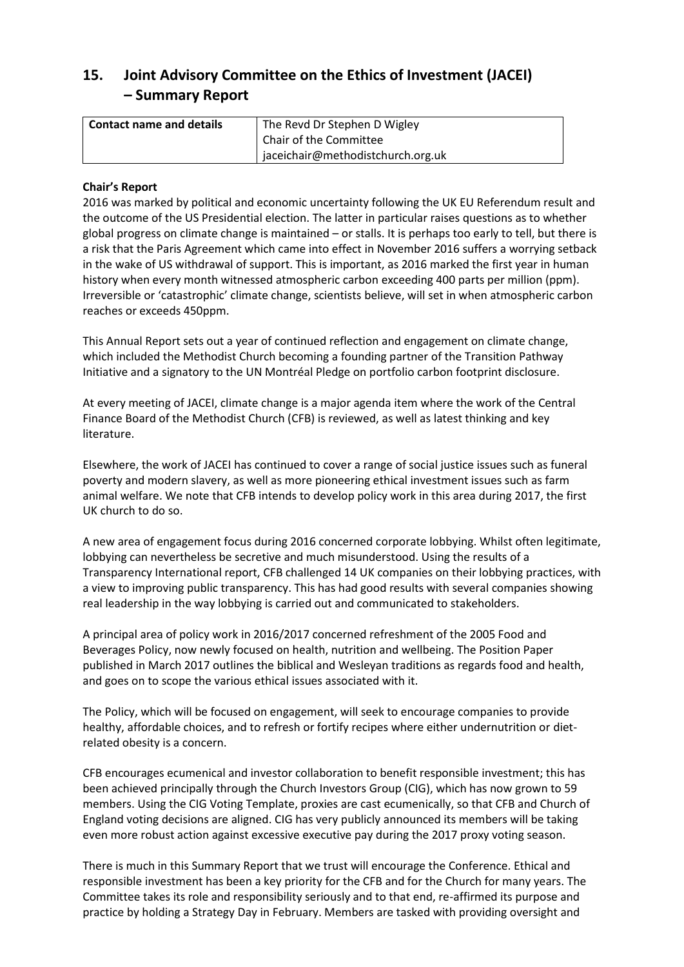# **15. Joint Advisory Committee on the Ethics of Investment (JACEI) – Summary Report**

| Contact name and details | The Revd Dr Stephen D Wigley        |
|--------------------------|-------------------------------------|
|                          | Chair of the Committee              |
|                          | ' jaceichair@methodistchurch.org.uk |

## **Chair's Report**

2016 was marked by political and economic uncertainty following the UK EU Referendum result and the outcome of the US Presidential election. The latter in particular raises questions as to whether global progress on climate change is maintained – or stalls. It is perhaps too early to tell, but there is a risk that the Paris Agreement which came into effect in November 2016 suffers a worrying setback in the wake of US withdrawal of support. This is important, as 2016 marked the first year in human history when every month witnessed atmospheric carbon exceeding 400 parts per million (ppm). Irreversible or 'catastrophic' climate change, scientists believe, will set in when atmospheric carbon reaches or exceeds 450ppm.

This Annual Report sets out a year of continued reflection and engagement on climate change, which included the Methodist Church becoming a founding partner of the Transition Pathway Initiative and a signatory to the UN Montréal Pledge on portfolio carbon footprint disclosure.

At every meeting of JACEI, climate change is a major agenda item where the work of the Central Finance Board of the Methodist Church (CFB) is reviewed, as well as latest thinking and key literature.

Elsewhere, the work of JACEI has continued to cover a range of social justice issues such as funeral poverty and modern slavery, as well as more pioneering ethical investment issues such as farm animal welfare. We note that CFB intends to develop policy work in this area during 2017, the first UK church to do so.

A new area of engagement focus during 2016 concerned corporate lobbying. Whilst often legitimate, lobbying can nevertheless be secretive and much misunderstood. Using the results of a Transparency International report, CFB challenged 14 UK companies on their lobbying practices, with a view to improving public transparency. This has had good results with several companies showing real leadership in the way lobbying is carried out and communicated to stakeholders.

A principal area of policy work in 2016/2017 concerned refreshment of the 2005 Food and Beverages Policy, now newly focused on health, nutrition and wellbeing. The Position Paper published in March 2017 outlines the biblical and Wesleyan traditions as regards food and health, and goes on to scope the various ethical issues associated with it.

The Policy, which will be focused on engagement, will seek to encourage companies to provide healthy, affordable choices, and to refresh or fortify recipes where either undernutrition or dietrelated obesity is a concern.

CFB encourages ecumenical and investor collaboration to benefit responsible investment; this has been achieved principally through the Church Investors Group (CIG), which has now grown to 59 members. Using the CIG Voting Template, proxies are cast ecumenically, so that CFB and Church of England voting decisions are aligned. CIG has very publicly announced its members will be taking even more robust action against excessive executive pay during the 2017 proxy voting season.

There is much in this Summary Report that we trust will encourage the Conference. Ethical and responsible investment has been a key priority for the CFB and for the Church for many years. The Committee takes its role and responsibility seriously and to that end, re-affirmed its purpose and practice by holding a Strategy Day in February. Members are tasked with providing oversight and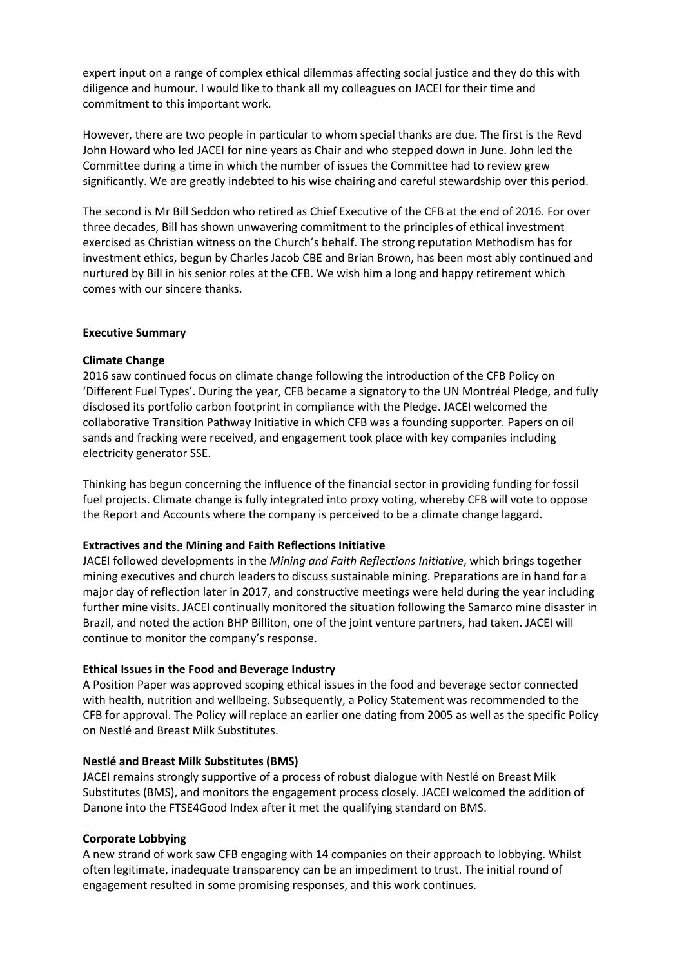expert input on a range of complex ethical dilemmas affecting social justice and they do this with diligence and humour. I would like to thank all my colleagues on JACEI for their time and commitment to this important work.

However, there are two people in particular to whom special thanks are due. The first is the Revd John Howard who led JACEI for nine years as Chair and who stepped down in June. John led the Committee during a time in which the number of issues the Committee had to review grew significantly. We are greatly indebted to his wise chairing and careful stewardship over this period.

The second is Mr Bill Seddon who retired as Chief Executive of the CFB at the end of 2016. For over three decades, Bill has shown unwavering commitment to the principles of ethical investment exercised as Christian witness on the Church's behalf. The strong reputation Methodism has for investment ethics, begun by Charles Jacob CBE and Brian Brown, has been most ably continued and nurtured by Bill in his senior roles at the CFB. We wish him a long and happy retirement which comes with our sincere thanks.

### **Executive Summary**

#### **Climate Change**

2016 saw continued focus on climate change following the introduction of the CFB Policy on 'Different Fuel Types'. During the year, CFB became a signatory to the UN Montréal Pledge, and fully disclosed its portfolio carbon footprint in compliance with the Pledge. JACEI welcomed the collaborative Transition Pathway Initiative in which CFB was a founding supporter. Papers on oil sands and fracking were received, and engagement took place with key companies including electricity generator SSE.

Thinking has begun concerning the influence of the financial sector in providing funding for fossil fuel projects. Climate change is fully integrated into proxy voting, whereby CFB will vote to oppose the Report and Accounts where the company is perceived to be a climate change laggard.

#### **Extractives and the Mining and Faith Reflections Initiative**

JACEI followed developments in the *Mining and Faith Reflections Initiative*, which brings together mining executives and church leaders to discuss sustainable mining. Preparations are in hand for a major day of reflection later in 2017, and constructive meetings were held during the year including further mine visits. JACEI continually monitored the situation following the Samarco mine disaster in Brazil, and noted the action BHP Billiton, one of the joint venture partners, had taken. JACEI will continue to monitor the company's response.

### **Ethical Issues in the Food and Beverage Industry**

A Position Paper was approved scoping ethical issues in the food and beverage sector connected with health, nutrition and wellbeing. Subsequently, a Policy Statement was recommended to the CFB for approval. The Policy will replace an earlier one dating from 2005 as well as the specific Policy on Nestlé and Breast Milk Substitutes.

#### **Nestlé and Breast Milk Substitutes (BMS)**

JACEI remains strongly supportive of a process of robust dialogue with Nestlé on Breast Milk Substitutes (BMS), and monitors the engagement process closely. JACEI welcomed the addition of Danone into the FTSE4Good Index after it met the qualifying standard on BMS.

### **Corporate Lobbying**

A new strand of work saw CFB engaging with 14 companies on their approach to lobbying. Whilst often legitimate, inadequate transparency can be an impediment to trust. The initial round of engagement resulted in some promising responses, and this work continues.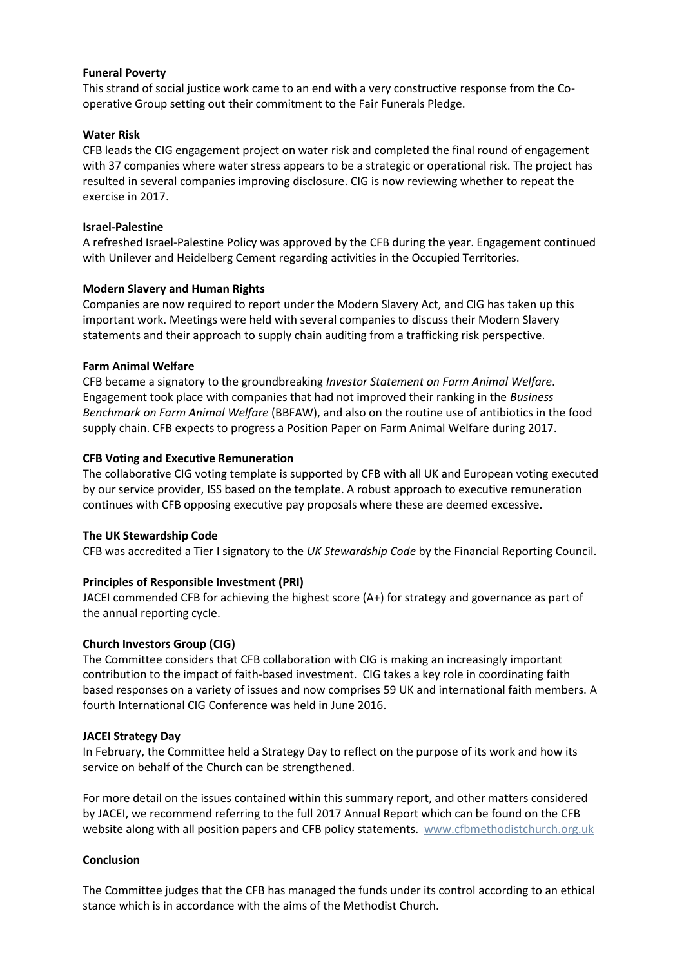### **Funeral Poverty**

This strand of social justice work came to an end with a very constructive response from the Cooperative Group setting out their commitment to the Fair Funerals Pledge.

## **Water Risk**

CFB leads the CIG engagement project on water risk and completed the final round of engagement with 37 companies where water stress appears to be a strategic or operational risk. The project has resulted in several companies improving disclosure. CIG is now reviewing whether to repeat the exercise in 2017.

### **Israel-Palestine**

A refreshed Israel-Palestine Policy was approved by the CFB during the year. Engagement continued with Unilever and Heidelberg Cement regarding activities in the Occupied Territories.

## **Modern Slavery and Human Rights**

Companies are now required to report under the Modern Slavery Act, and CIG has taken up this important work. Meetings were held with several companies to discuss their Modern Slavery statements and their approach to supply chain auditing from a trafficking risk perspective.

## **Farm Animal Welfare**

CFB became a signatory to the groundbreaking *Investor Statement on Farm Animal Welfare*. Engagement took place with companies that had not improved their ranking in the *Business Benchmark on Farm Animal Welfare* (BBFAW), and also on the routine use of antibiotics in the food supply chain. CFB expects to progress a Position Paper on Farm Animal Welfare during 2017.

## **CFB Voting and Executive Remuneration**

The collaborative CIG voting template is supported by CFB with all UK and European voting executed by our service provider, ISS based on the template. A robust approach to executive remuneration continues with CFB opposing executive pay proposals where these are deemed excessive.

# **The UK Stewardship Code**

CFB was accredited a Tier I signatory to the *UK Stewardship Code* by the Financial Reporting Council.

# **Principles of Responsible Investment (PRI)**

JACEI commended CFB for achieving the highest score (A+) for strategy and governance as part of the annual reporting cycle.

### **Church Investors Group (CIG)**

The Committee considers that CFB collaboration with CIG is making an increasingly important contribution to the impact of faith-based investment. CIG takes a key role in coordinating faith based responses on a variety of issues and now comprises 59 UK and international faith members. A fourth International CIG Conference was held in June 2016.

### **JACEI Strategy Day**

In February, the Committee held a Strategy Day to reflect on the purpose of its work and how its service on behalf of the Church can be strengthened.

For more detail on the issues contained within this summary report, and other matters considered by JACEI, we recommend referring to the full 2017 Annual Report which can be found on the CFB website along with all position papers and CFB policy statements. [www.cfbmethodistchurch.org.uk](http://www.cfbmethodistchurch.org.uk/)

### **Conclusion**

The Committee judges that the CFB has managed the funds under its control according to an ethical stance which is in accordance with the aims of the Methodist Church.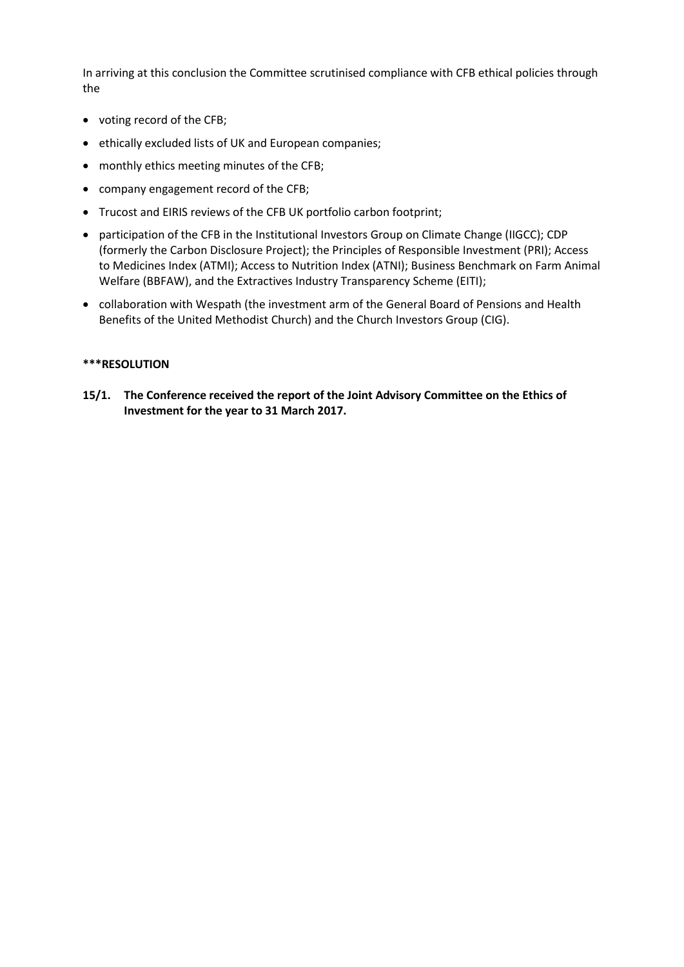In arriving at this conclusion the Committee scrutinised compliance with CFB ethical policies through the

- voting record of the CFB;
- ethically excluded lists of UK and European companies;
- monthly ethics meeting minutes of the CFB;
- company engagement record of the CFB;
- Trucost and EIRIS reviews of the CFB UK portfolio carbon footprint;
- participation of the CFB in the Institutional Investors Group on Climate Change (IIGCC); CDP (formerly the Carbon Disclosure Project); the Principles of Responsible Investment (PRI); Access to Medicines Index (ATMI); Access to Nutrition Index (ATNI); Business Benchmark on Farm Animal Welfare (BBFAW), and the Extractives Industry Transparency Scheme (EITI);
- collaboration with Wespath (the investment arm of the General Board of Pensions and Health Benefits of the United Methodist Church) and the Church Investors Group (CIG).

### **\*\*\*RESOLUTION**

**15/1. The Conference received the report of the Joint Advisory Committee on the Ethics of Investment for the year to 31 March 2017.**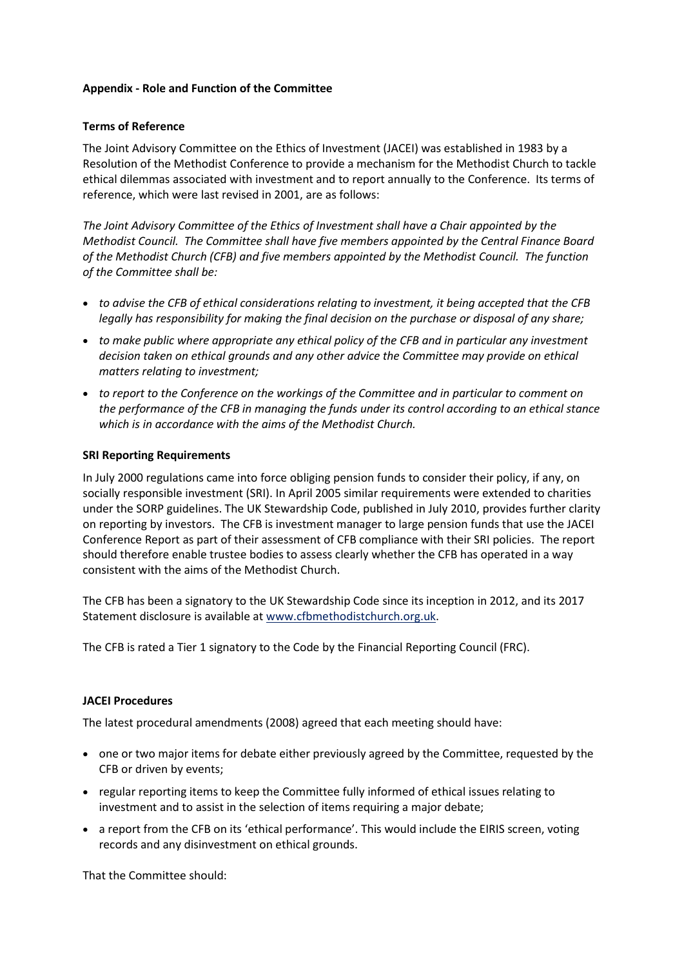### **Appendix - Role and Function of the Committee**

### **Terms of Reference**

The Joint Advisory Committee on the Ethics of Investment (JACEI) was established in 1983 by a Resolution of the Methodist Conference to provide a mechanism for the Methodist Church to tackle ethical dilemmas associated with investment and to report annually to the Conference. Its terms of reference, which were last revised in 2001, are as follows:

*The Joint Advisory Committee of the Ethics of Investment shall have a Chair appointed by the Methodist Council. The Committee shall have five members appointed by the Central Finance Board of the Methodist Church (CFB) and five members appointed by the Methodist Council. The function of the Committee shall be:*

- *to advise the CFB of ethical considerations relating to investment, it being accepted that the CFB legally has responsibility for making the final decision on the purchase or disposal of any share;*
- *to make public where appropriate any ethical policy of the CFB and in particular any investment decision taken on ethical grounds and any other advice the Committee may provide on ethical matters relating to investment;*
- *to report to the Conference on the workings of the Committee and in particular to comment on the performance of the CFB in managing the funds under its control according to an ethical stance which is in accordance with the aims of the Methodist Church.*

### **SRI Reporting Requirements**

In July 2000 regulations came into force obliging pension funds to consider their policy, if any, on socially responsible investment (SRI). In April 2005 similar requirements were extended to charities under the SORP guidelines. The UK Stewardship Code, published in July 2010, provides further clarity on reporting by investors. The CFB is investment manager to large pension funds that use the JACEI Conference Report as part of their assessment of CFB compliance with their SRI policies. The report should therefore enable trustee bodies to assess clearly whether the CFB has operated in a way consistent with the aims of the Methodist Church.

The CFB has been a signatory to the UK Stewardship Code since its inception in 2012, and its 2017 Statement disclosure is available a[t www.cfbmethodistchurch.org.uk.](http://www.cfbmethodistchurch.org.uk/)

The CFB is rated a Tier 1 signatory to the Code by the Financial Reporting Council (FRC).

### **JACEI Procedures**

The latest procedural amendments (2008) agreed that each meeting should have:

- one or two major items for debate either previously agreed by the Committee, requested by the CFB or driven by events;
- regular reporting items to keep the Committee fully informed of ethical issues relating to investment and to assist in the selection of items requiring a major debate;
- a report from the CFB on its 'ethical performance'. This would include the EIRIS screen, voting records and any disinvestment on ethical grounds.

That the Committee should: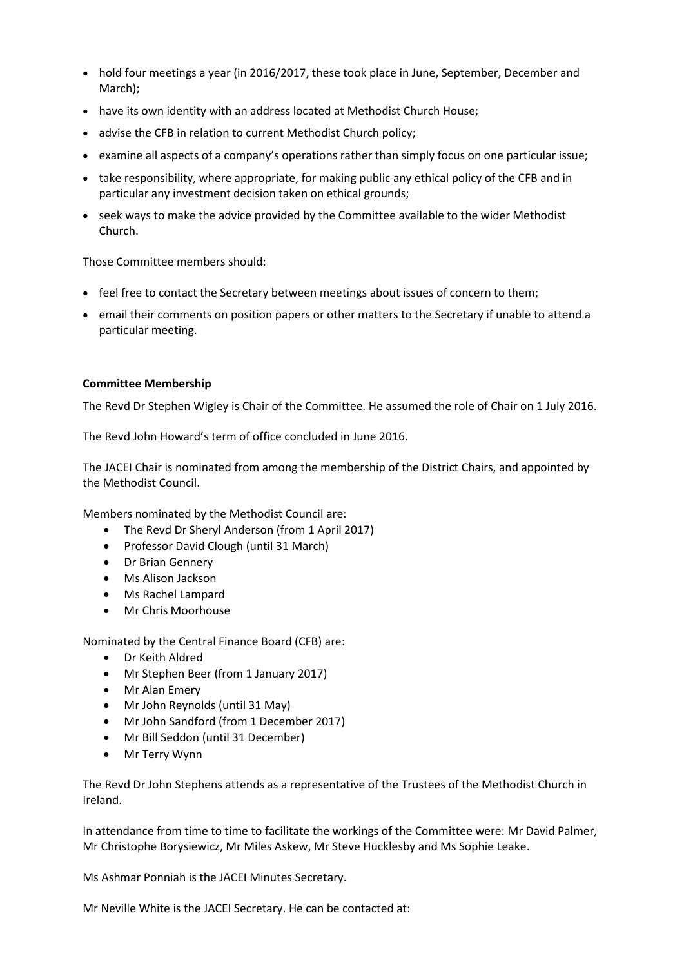- hold four meetings a year (in 2016/2017, these took place in June, September, December and March);
- have its own identity with an address located at Methodist Church House;
- advise the CFB in relation to current Methodist Church policy;
- examine all aspects of a company's operations rather than simply focus on one particular issue;
- take responsibility, where appropriate, for making public any ethical policy of the CFB and in particular any investment decision taken on ethical grounds;
- seek ways to make the advice provided by the Committee available to the wider Methodist Church.

Those Committee members should:

- feel free to contact the Secretary between meetings about issues of concern to them;
- email their comments on position papers or other matters to the Secretary if unable to attend a particular meeting.

### **Committee Membership**

The Revd Dr Stephen Wigley is Chair of the Committee. He assumed the role of Chair on 1 July 2016.

The Revd John Howard's term of office concluded in June 2016.

The JACEI Chair is nominated from among the membership of the District Chairs, and appointed by the Methodist Council.

Members nominated by the Methodist Council are:

- The Revd Dr Sheryl Anderson (from 1 April 2017)
- Professor David Clough (until 31 March)
- Dr Brian Gennery
- Ms Alison Jackson
- Ms Rachel Lampard
- Mr Chris Moorhouse

Nominated by the Central Finance Board (CFB) are:

- Dr Keith Aldred
- Mr Stephen Beer (from 1 January 2017)
- Mr Alan Emery
- Mr John Reynolds (until 31 May)
- Mr John Sandford (from 1 December 2017)
- Mr Bill Seddon (until 31 December)
- Mr Terry Wynn

The Revd Dr John Stephens attends as a representative of the Trustees of the Methodist Church in Ireland.

In attendance from time to time to facilitate the workings of the Committee were: Mr David Palmer, Mr Christophe Borysiewicz, Mr Miles Askew, Mr Steve Hucklesby and Ms Sophie Leake.

Ms Ashmar Ponniah is the JACEI Minutes Secretary.

Mr Neville White is the JACEI Secretary. He can be contacted at: